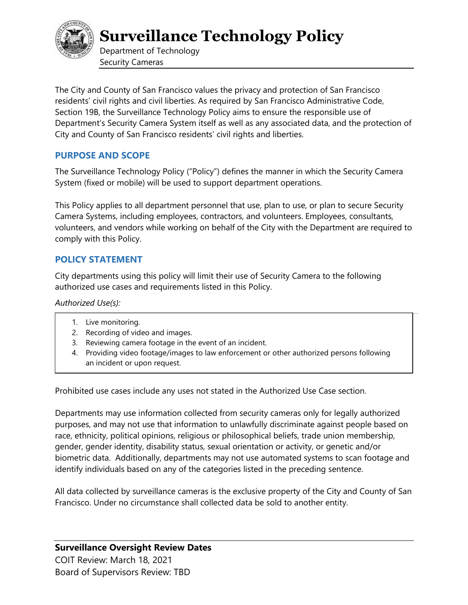

**Surveillance Technology Policy** 

Department of Technology Security Cameras

The City and County of San Francisco values the privacy and protection of San Francisco residents' civil rights and civil liberties. As required by San Francisco Administrative Code, Section 19B, the Surveillance Technology Policy aims to ensure the responsible use of Department's Security Camera System itself as well as any associated data, and the protection of City and County of San Francisco residents' civil rights and liberties.

# **PURPOSE AND SCOPE**

The Surveillance Technology Policy ("Policy") defines the manner in which the Security Camera System (fixed or mobile) will be used to support department operations.

This Policy applies to all department personnel that use, plan to use, or plan to secure Security Camera Systems, including employees, contractors, and volunteers. Employees, consultants, volunteers, and vendors while working on behalf of the City with the Department are required to comply with this Policy.

# **POLICY STATEMENT**

City departments using this policy will limit their use of Security Camera to the following authorized use cases and requirements listed in this Policy.

*Authorized Use(s):*

- 1. Live monitoring.
- 2. Recording of video and images.
- 3. Reviewing camera footage in the event of an incident.
- 4. Providing video footage/images to law enforcement or other authorized persons following an incident or upon request.

Prohibited use cases include any uses not stated in the Authorized Use Case section.

Departments may use information collected from security cameras only for legally authorized purposes, and may not use that information to unlawfully discriminate against people based on race, ethnicity, political opinions, religious or philosophical beliefs, trade union membership, gender, gender identity, disability status, sexual orientation or activity, or genetic and/or biometric data. Additionally, departments may not use automated systems to scan footage and identify individuals based on any of the categories listed in the preceding sentence.

All data collected by surveillance cameras is the exclusive property of the City and County of San Francisco. Under no circumstance shall collected data be sold to another entity.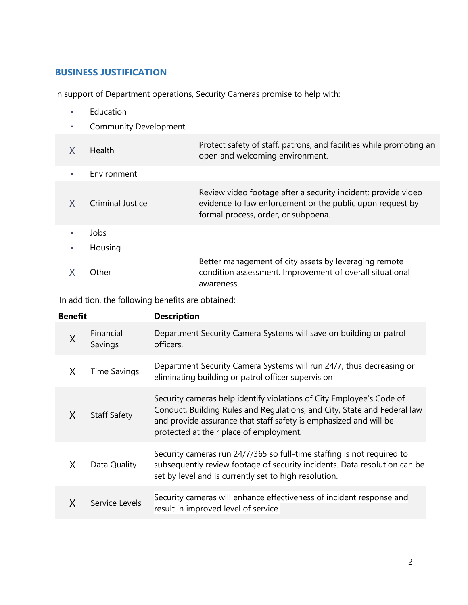# **BUSINESS JUSTIFICATION**

In support of Department operations, Security Cameras promise to help with:

- Education à.
- Community Development ò,

|    | Health           | Protect safety of staff, patrons, and facilities while promoting an<br>open and welcoming environment.                                                            |
|----|------------------|-------------------------------------------------------------------------------------------------------------------------------------------------------------------|
| a. | Environment      |                                                                                                                                                                   |
|    | Criminal Justice | Review video footage after a security incident; provide video<br>evidence to law enforcement or the public upon request by<br>formal process, order, or subpoena. |
|    | Jobs             |                                                                                                                                                                   |
| ٠  | Housing          |                                                                                                                                                                   |
|    | Other            | Better management of city assets by leveraging remote<br>condition assessment. Improvement of overall situational<br>awareness.                                   |

In addition, the following benefits are obtained:

| <b>Benefit</b> |                      | <b>Description</b>                                                                                                                                                                                                                                               |  |
|----------------|----------------------|------------------------------------------------------------------------------------------------------------------------------------------------------------------------------------------------------------------------------------------------------------------|--|
| X              | Financial<br>Savings | Department Security Camera Systems will save on building or patrol<br>officers.                                                                                                                                                                                  |  |
| X              | <b>Time Savings</b>  | Department Security Camera Systems will run 24/7, thus decreasing or<br>eliminating building or patrol officer supervision                                                                                                                                       |  |
| X              | <b>Staff Safety</b>  | Security cameras help identify violations of City Employee's Code of<br>Conduct, Building Rules and Regulations, and City, State and Federal law<br>and provide assurance that staff safety is emphasized and will be<br>protected at their place of employment. |  |
| X              | Data Quality         | Security cameras run 24/7/365 so full-time staffing is not required to<br>subsequently review footage of security incidents. Data resolution can be<br>set by level and is currently set to high resolution.                                                     |  |
|                | Service Levels       | Security cameras will enhance effectiveness of incident response and<br>result in improved level of service.                                                                                                                                                     |  |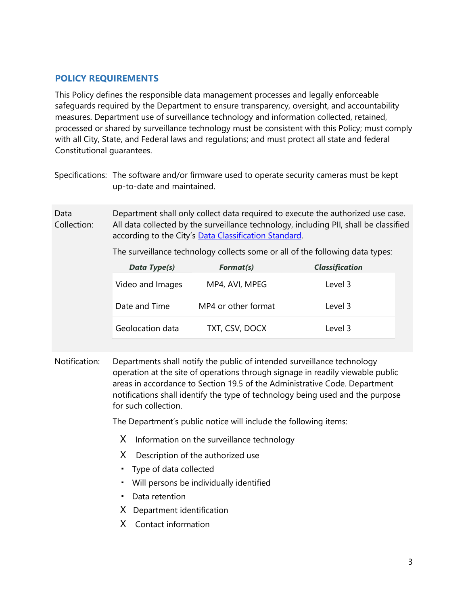# **POLICY REQUIREMENTS**

This Policy defines the responsible data management processes and legally enforceable safeguards required by the Department to ensure transparency, oversight, and accountability measures. Department use of surveillance technology and information collected, retained, processed or shared by surveillance technology must be consistent with this Policy; must comply with all City, State, and Federal laws and regulations; and must protect all state and federal Constitutional guarantees.

| Specifications: The software and/or firmware used to operate security cameras must be kept |
|--------------------------------------------------------------------------------------------|
| up-to-date and maintained.                                                                 |

Data Collection: Department shall only collect data required to execute the authorized use case. All data collected by the surveillance technology, including PII, shall be classified according to the City's Data Classification Standard.

The surveillance technology collects some or all of the following data types:

| Data Type(s)     | Format(s)           | <b>Classification</b> |
|------------------|---------------------|-----------------------|
| Video and Images | MP4, AVI, MPEG      | Level 3               |
| Date and Time    | MP4 or other format | Level 3               |
| Geolocation data | TXT, CSV, DOCX      | Level 3               |

Notification: Departments shall notify the public of intended surveillance technology operation at the site of operations through signage in readily viewable public areas in accordance to Section 19.5 of the Administrative Code. Department notifications shall identify the type of technology being used and the purpose for such collection.

The Department's public notice will include the following items:

- X Information on the surveillance technology
- X Description of the authorized use
- Type of data collected
- Will persons be individually identified
- Data retention
- X Department identification
- X Contact information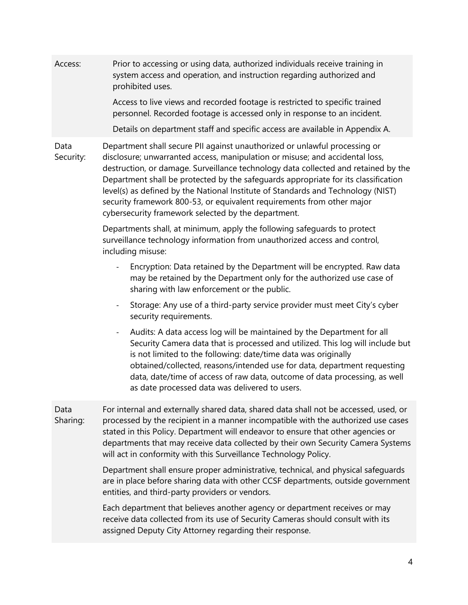Access: Prior to accessing or using data, authorized individuals receive training in system access and operation, and instruction regarding authorized and prohibited uses. Access to live views and recorded footage is restricted to specific trained personnel. Recorded footage is accessed only in response to an incident. Details on department staff and specific access are available in Appendix A. Data Security: Department shall secure PII against unauthorized or unlawful processing or disclosure; unwarranted access, manipulation or misuse; and accidental loss, destruction, or damage. Surveillance technology data collected and retained by the Department shall be protected by the safeguards appropriate for its classification level(s) as defined by the National Institute of Standards and Technology (NIST) security framework 800-53, or equivalent requirements from other major cybersecurity framework selected by the department. Departments shall, at minimum, apply the following safeguards to protect surveillance technology information from unauthorized access and control, including misuse: Encryption: Data retained by the Department will be encrypted. Raw data may be retained by the Department only for the authorized use case of sharing with law enforcement or the public. Storage: Any use of a third-party service provider must meet City's cyber security requirements. - Audits: A data access log will be maintained by the Department for all Security Camera data that is processed and utilized. This log will include but is not limited to the following: date/time data was originally obtained/collected, reasons/intended use for data, department requesting data, date/time of access of raw data, outcome of data processing, as well as date processed data was delivered to users. Data Sharing: For internal and externally shared data, shared data shall not be accessed, used, or processed by the recipient in a manner incompatible with the authorized use cases stated in this Policy. Department will endeavor to ensure that other agencies or departments that may receive data collected by their own Security Camera Systems will act in conformity with this Surveillance Technology Policy. Department shall ensure proper administrative, technical, and physical safeguards are in place before sharing data with other CCSF departments, outside government entities, and third-party providers or vendors. Each department that believes another agency or department receives or may receive data collected from its use of Security Cameras should consult with its

assigned Deputy City Attorney regarding their response.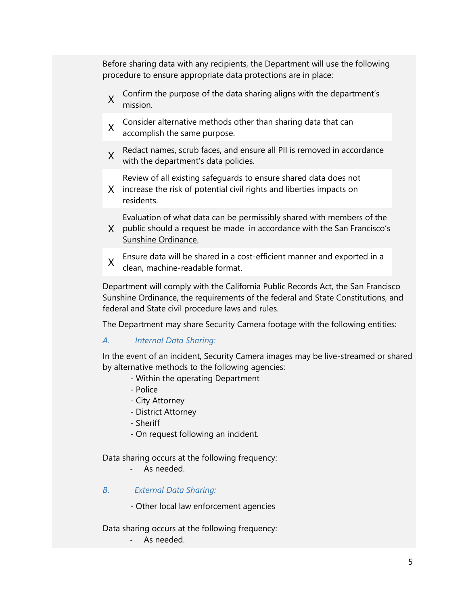Before sharing data with any recipients, the Department will use the following procedure to ensure appropriate data protections are in place:

- X Confirm the purpose of the data sharing aligns with the department's mission.
- X Consider alternative methods other than sharing data that can<br>X assemblish the same nurness accomplish the same purpose.
- X Redact names, scrub faces, and ensure all PII is removed in accordance with the department's data policies.

Review of all existing safeguards to ensure shared data does not

X increase the risk of potential civil rights and liberties impacts on residents.

Evaluation of what data can be permissibly shared with members of the

- X public should a request be made in accordance with the San Francisco's [Sunshine Ordinance.](http://library.amlegal.com/nxt/gateway.dll/California/administrative/chapter67thesanfranciscosunshineordinanc?f=templates$fn=default.htm$3.0$vid=amlegal:sanfrancisco_ca$anc=JD_Chapter67)
- X Ensure data will be shared in a cost-efficient manner and exported in a clean, machine-readable format.

Department will comply with the California Public Records Act, the San Francisco Sunshine Ordinance, the requirements of the federal and State Constitutions, and federal and State civil procedure laws and rules.

The Department may share Security Camera footage with the following entities:

#### *A. Internal Data Sharing:*

In the event of an incident, Security Camera images may be live-streamed or shared by alternative methods to the following agencies:

- Within the operating Department
- Police
- City Attorney
- District Attorney
- Sheriff
- On request following an incident.

Data sharing occurs at the following frequency:

As needed.

#### *B*. *External Data Sharing:*

- Other local law enforcement agencies

Data sharing occurs at the following frequency:

As needed.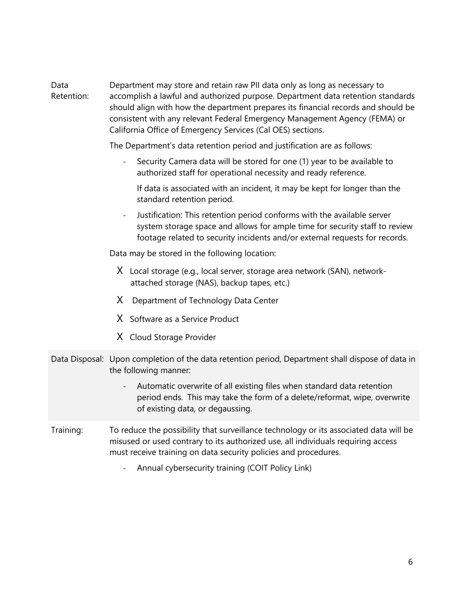Data Retention: Department may store and retain raw PII data only as long as necessary to accomplish a lawful and authorized purpose. Department data retention standards should align with how the department prepares its financial records and should be consistent with any relevant Federal Emergency Management Agency (FEMA) or California Office of Emergency Services (Cal OES) sections.

The Department's data retention period and justification are as follows:

Security Camera data will be stored for one (1) year to be available to authorized staff for operational necessity and ready reference.

If data is associated with an incident, it may be kept for longer than the standard retention period.

- Justification: This retention period conforms with the available server system storage space and allows for ample time for security staff to review footage related to security incidents and/or external requests for records.

Data may be stored in the following location:

- X Local storage (e.g., local server, storage area network (SAN), networkattached storage (NAS), backup tapes, etc.)
- X Department of Technology Data Center
- X Software as a Service Product
- X Cloud Storage Provider
- Data Disposal: Upon completion of the data retention period, Department shall dispose of data in the following manner:
	- Automatic overwrite of all existing files when standard data retention period ends. This may take the form of a delete/reformat, wipe, overwrite of existing data, or degaussing.
- Training: To reduce the possibility that surveillance technology or its associated data will be misused or used contrary to its authorized use, all individuals requiring access must receive training on data security policies and procedures.
	- Annual cybersecurity training (COIT Policy Link)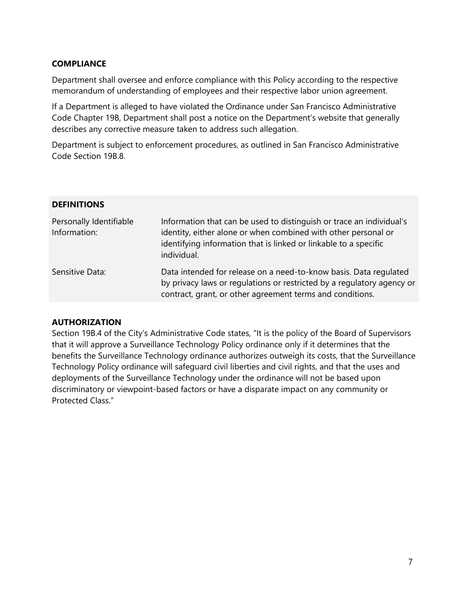### **COMPLIANCE**

Department shall oversee and enforce compliance with this Policy according to the respective memorandum of understanding of employees and their respective labor union agreement.

If a Department is alleged to have violated the Ordinance under San Francisco Administrative Code Chapter 19B, Department shall post a notice on the Department's website that generally describes any corrective measure taken to address such allegation.

Department is subject to enforcement procedures, as outlined in San Francisco Administrative Code Section 19B.8.

#### **DEFINITIONS**

| Personally Identifiable<br>Information: | Information that can be used to distinguish or trace an individual's<br>identity, either alone or when combined with other personal or<br>identifying information that is linked or linkable to a specific<br>individual. |
|-----------------------------------------|---------------------------------------------------------------------------------------------------------------------------------------------------------------------------------------------------------------------------|
| Sensitive Data:                         | Data intended for release on a need-to-know basis. Data regulated<br>by privacy laws or regulations or restricted by a regulatory agency or<br>contract, grant, or other agreement terms and conditions.                  |

### **AUTHORIZATION**

Section 19B.4 of the City's Administrative Code states, "It is the policy of the Board of Supervisors that it will approve a Surveillance Technology Policy ordinance only if it determines that the benefits the Surveillance Technology ordinance authorizes outweigh its costs, that the Surveillance Technology Policy ordinance will safeguard civil liberties and civil rights, and that the uses and deployments of the Surveillance Technology under the ordinance will not be based upon discriminatory or viewpoint-based factors or have a disparate impact on any community or Protected Class."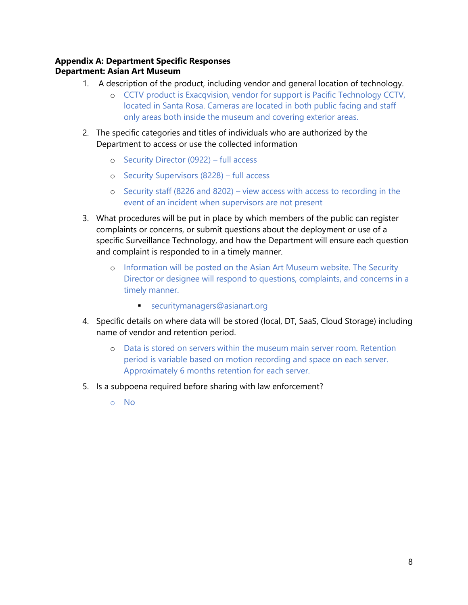## **Appendix A: Department Specific Responses Department: Asian Art Museum**

- 1. A description of the product, including vendor and general location of technology.
	- o CCTV product is Exacqvision, vendor for support is Pacific Technology CCTV, located in Santa Rosa. Cameras are located in both public facing and staff only areas both inside the museum and covering exterior areas.
- 2. The specific categories and titles of individuals who are authorized by the Department to access or use the collected information
	- o Security Director (0922) full access
	- o Security Supervisors (8228) full access
	- o Security staff (8226 and 8202) view access with access to recording in the event of an incident when supervisors are not present
- 3. What procedures will be put in place by which members of the public can register complaints or concerns, or submit questions about the deployment or use of a specific Surveillance Technology, and how the Department will ensure each question and complaint is responded to in a timely manner.
	- o Information will be posted on the Asian Art Museum website. The Security Director or designee will respond to questions, complaints, and concerns in a timely manner.
		- securitymanagers@asianart.org
- 4. Specific details on where data will be stored (local, DT, SaaS, Cloud Storage) including name of vendor and retention period.
	- o Data is stored on servers within the museum main server room. Retention period is variable based on motion recording and space on each server. Approximately 6 months retention for each server.
- 5. Is a subpoena required before sharing with law enforcement?
	- o No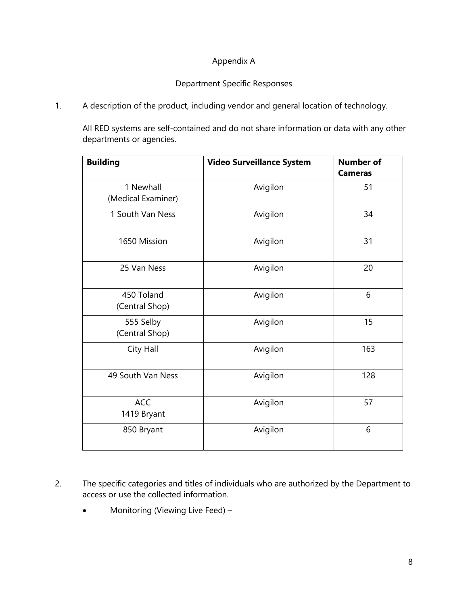# Appendix A

#### Department Specific Responses HSDUWPHQW&W\$PLQVWUDWRUV2IILFH5HDO(VWDWHLM/LRQ

1. A description of the product, including vendor and general location of technology.

All RED systems are self-contained and do not share information or data with any other departments or agencies.

| <b>Building</b>                 | <b>Video Surveillance System</b> | <b>Number of</b><br><b>Cameras</b> |
|---------------------------------|----------------------------------|------------------------------------|
| 1 Newhall<br>(Medical Examiner) | Avigilon                         | 51                                 |
| 1 South Van Ness                | Avigilon                         | 34                                 |
| 1650 Mission                    | Avigilon                         | 31                                 |
| 25 Van Ness                     | Avigilon                         | 20                                 |
| 450 Toland<br>(Central Shop)    | Avigilon                         | 6                                  |
| 555 Selby<br>(Central Shop)     | Avigilon                         | 15                                 |
| City Hall                       | Avigilon                         | 163                                |
| 49 South Van Ness               | Avigilon                         | 128                                |
| <b>ACC</b><br>1419 Bryant       | Avigilon                         | 57                                 |
| 850 Bryant                      | Avigilon                         | 6                                  |

- 2. The specific categories and titles of individuals who are authorized by the Department to access or use the collected information.
	- Monitoring (Viewing Live Feed) –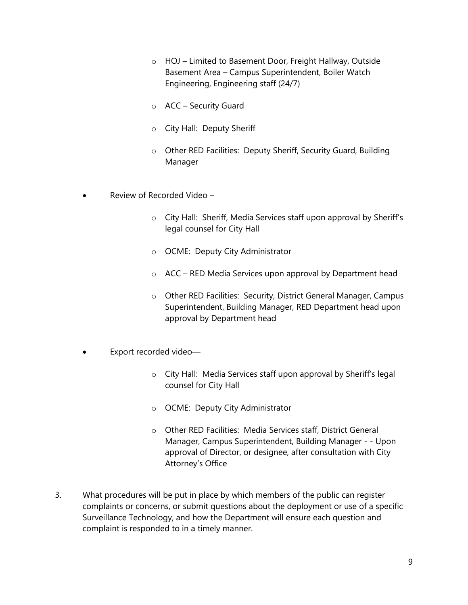- o HOJ Limited to Basement Door, Freight Hallway, Outside Basement Area – Campus Superintendent, Boiler Watch Engineering, Engineering staff (24/7)
- o ACC Security Guard
- o City Hall: Deputy Sheriff
- o Other RED Facilities: Deputy Sheriff, Security Guard, Building Manager
- Review of Recorded Video
	- o City Hall: Sheriff, Media Services staff upon approval by Sheriff's legal counsel for City Hall
	- o OCME: Deputy City Administrator
	- o ACC RED Media Services upon approval by Department head
	- o Other RED Facilities: Security, District General Manager, Campus Superintendent, Building Manager, RED Department head upon approval by Department head
- Export recorded video
	- o City Hall: Media Services staff upon approval by Sheriff's legal counsel for City Hall
	- o OCME: Deputy City Administrator
	- o Other RED Facilities: Media Services staff, District General Manager, Campus Superintendent, Building Manager - - Upon approval of Director, or designee, after consultation with City Attorney's Office
- 3. What procedures will be put in place by which members of the public can register complaints or concerns, or submit questions about the deployment or use of a specific Surveillance Technology, and how the Department will ensure each question and complaint is responded to in a timely manner.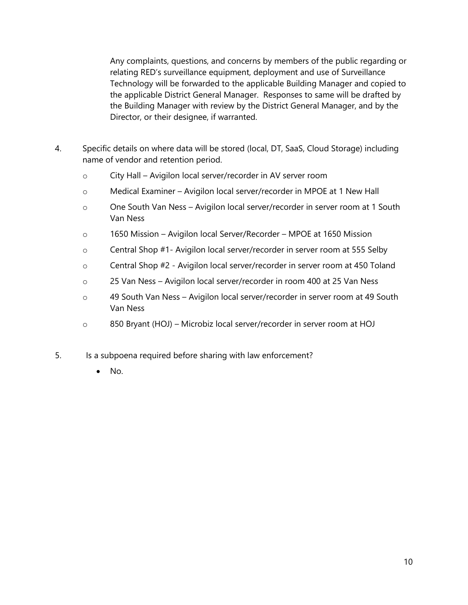Any complaints, questions, and concerns by members of the public regarding or relating RED's surveillance equipment, deployment and use of Surveillance Technology will be forwarded to the applicable Building Manager and copied to the applicable District General Manager. Responses to same will be drafted by the Building Manager with review by the District General Manager, and by the Director, or their designee, if warranted.

- 4. Specific details on where data will be stored (local, DT, SaaS, Cloud Storage) including name of vendor and retention period.
	- o City Hall Avigilon local server/recorder in AV server room
	- o Medical Examiner Avigilon local server/recorder in MPOE at 1 New Hall
	- o One South Van Ness Avigilon local server/recorder in server room at 1 South Van Ness
	- o 1650 Mission Avigilon local Server/Recorder MPOE at 1650 Mission
	- o Central Shop #1- Avigilon local server/recorder in server room at 555 Selby
	- o Central Shop #2 Avigilon local server/recorder in server room at 450 Toland
	- o 25 Van Ness Avigilon local server/recorder in room 400 at 25 Van Ness
	- o 49 South Van Ness Avigilon local server/recorder in server room at 49 South Van Ness
	- o 850 Bryant (HOJ) Microbiz local server/recorder in server room at HOJ
- 5. Is a subpoena required before sharing with law enforcement?
	- $\bullet$  No.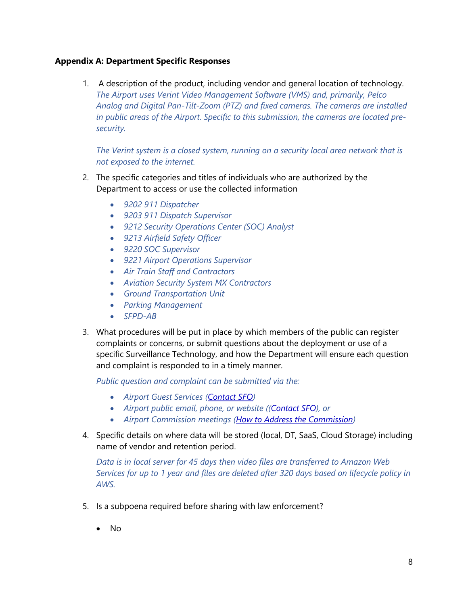1. A description of the product, including vendor and general location of technology. *The Airport uses Verint Video Management Software (VMS) and, primarily, Pelco Analog and Digital Pan-Tilt-Zoom (PTZ) and fixed cameras. The cameras are installed in public areas of the Airport. Specific to this submission, the cameras are located presecurity.*

*The Verint system is a closed system, running on a security local area network that is not exposed to the internet.*

- 2. The specific categories and titles of individuals who are authorized by the Department to access or use the collected information
	- *9202 911 Dispatcher*
	- *9203 911 Dispatch Supervisor*
	- *9212 Security Operations Center (SOC) Analyst*
	- *9213 Airfield Safety Officer*
	- *9220 SOC Supervisor*
	- *9221 Airport Operations Supervisor*
	- *Air Train Staff and Contractors*
	- *Aviation Security System MX Contractors*
	- *Ground Transportation Unit*
	- *Parking Management*
	- *SFPD-AB*
- 3. What procedures will be put in place by which members of the public can register complaints or concerns, or submit questions about the deployment or use of a specific Surveillance Technology, and how the Department will ensure each question and complaint is responded to in a timely manner.

*Public question and complaint can be submitted via the:*

- *Airport Guest Services [\(Contact SFO\)](https://www.flysfo.com/contact-sfo)*
- *Airport public email, phone, or website ([\(Contact SFO\)](https://www.flysfo.com/contact-sfo), or*
- *Airport Commission meetings [\(How to Address the Commission\)](https://www.flysfo.com/about-sfo/airport-commission/addressing-the-commission)*
- 4. Specific details on where data will be stored (local, DT, SaaS, Cloud Storage) including name of vendor and retention period.

*Data is in local server for 45 days then video files are transferred to Amazon Web Services for up to 1 year and files are deleted after 320 days based on lifecycle policy in AWS.*

- 5. Is a subpoena required before sharing with law enforcement?
	- No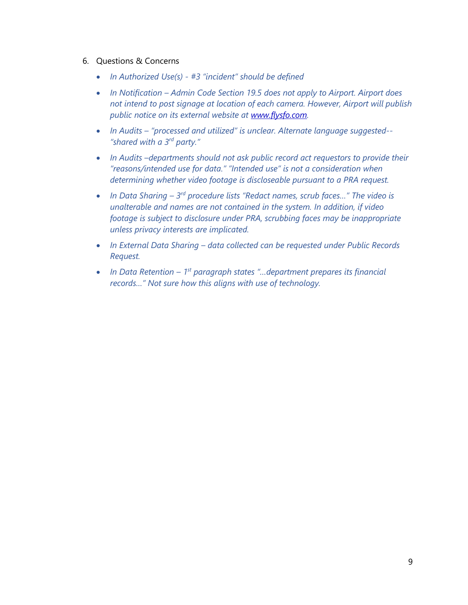- 6. Questions & Concerns
	- *In Authorized Use(s) - #3 "incident" should be defined*
	- *In Notification Admin Code Section 19.5 does not apply to Airport. Airport does not intend to post signage at location of each camera. However, Airport will publish public notice on its external website at [www.flysfo.com.](http://www.flysfo.com/)*
	- *In Audits – "processed and utilized" is unclear. Alternate language suggested-- "shared with a 3rd party."*
	- In Audits -*departments should not ask public record act requestors to provide their "reasons/intended use for data." "Intended use" is not a consideration when determining whether video footage is discloseable pursuant to a PRA request.*
	- In Data Sharing 3<sup>rd</sup> procedure lists "Redact names, scrub faces..." The video is *unalterable and names are not contained in the system. In addition, if video footage is subject to disclosure under PRA, scrubbing faces may be inappropriate unless privacy interests are implicated.*
	- *In External Data Sharing – data collected can be requested under Public Records Request.*
	- *In Data Retention 1<sup>st</sup> paragraph states "...department prepares its financial records…" Not sure how this aligns with use of technology.*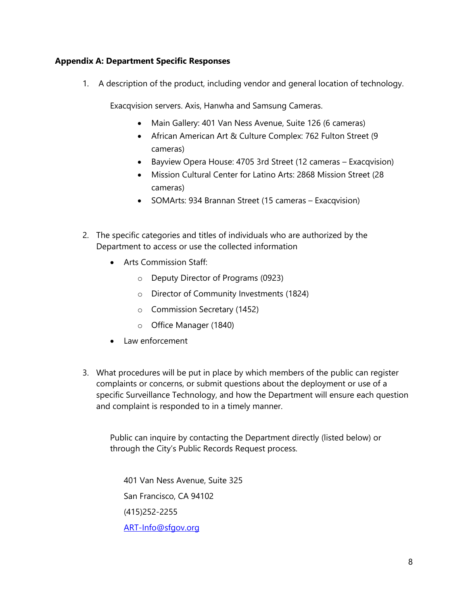1. A description of the product, including vendor and general location of technology.

Exacqvision servers. Axis, Hanwha and Samsung Cameras.

- Main Gallery: 401 Van Ness Avenue, Suite 126 (6 cameras)
- African American Art & Culture Complex: 762 Fulton Street (9 cameras)
- Bayview Opera House: 4705 3rd Street (12 cameras Exacqvision)
- Mission Cultural Center for Latino Arts: 2868 Mission Street (28 cameras)
- SOMArts: 934 Brannan Street (15 cameras Exacqvision)
- 2. The specific categories and titles of individuals who are authorized by the Department to access or use the collected information
	- Arts Commission Staff:
		- o Deputy Director of Programs (0923)
		- o Director of Community Investments (1824)
		- o Commission Secretary (1452)
		- o Office Manager (1840)
	- Law enforcement
- 3. What procedures will be put in place by which members of the public can register complaints or concerns, or submit questions about the deployment or use of a specific Surveillance Technology, and how the Department will ensure each question and complaint is responded to in a timely manner.

Public can inquire by contacting the Department directly (listed below) or through the City's Public Records Request process.

401 Van Ness Avenue, Suite 325 San Francisco, CA 94102 (415)252-2255 [ART-Info@sfgov.org](mailto:ART-Info@sfgov.org)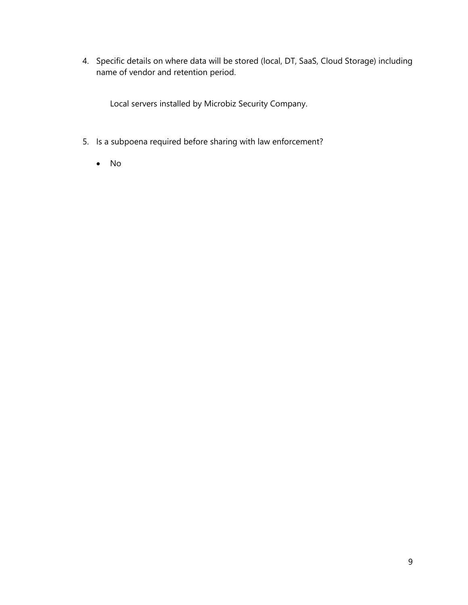4. Specific details on where data will be stored (local, DT, SaaS, Cloud Storage) including name of vendor and retention period.

Local servers installed by Microbiz Security Company.

- 5. Is a subpoena required before sharing with law enforcement?
	- No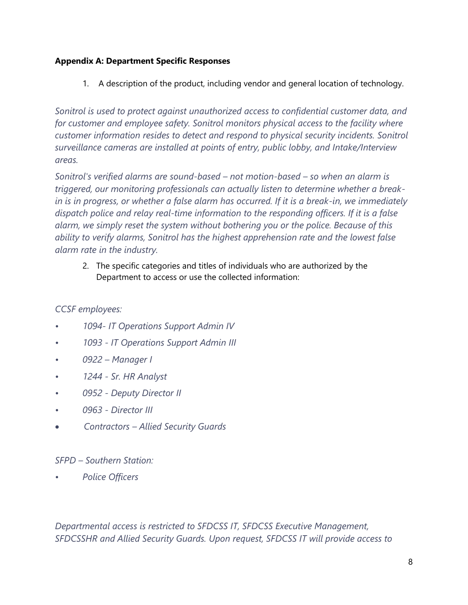1. A description of the product, including vendor and general location of technology.

*Sonitrol is used to protect against unauthorized access to confidential customer data, and for customer and employee safety. Sonitrol monitors physical access to the facility where customer information resides to detect and respond to physical security incidents. Sonitrol surveillance cameras are installed at points of entry, public lobby, and Intake/Interview areas.*

*Sonitrol's verified alarms are sound-based – not motion-based – so when an alarm is triggered, our monitoring professionals can actually listen to determine whether a breakin is in progress, or whether a false alarm has occurred. If it is a break-in, we immediately dispatch police and relay real-time information to the responding officers. If it is a false alarm, we simply reset the system without bothering you or the police. Because of this ability to verify alarms, Sonitrol has the highest apprehension rate and the lowest false alarm rate in the industry.*

2. The specific categories and titles of individuals who are authorized by the Department to access or use the collected information:

# *CCSF employees:*

- *• 1094- IT Operations Support Admin IV*
- *• 1093 - IT Operations Support Admin III*
- *• 0922 – Manager I*
- *• 1244 - Sr. HR Analyst*
- *• 0952 - Deputy Director II*
- *• 0963 - Director III*
- • *Contractors – Allied Security Guards*

# *SFPD – Southern Station:*

*• Police Officers*

*Departmental access is restricted to SFDCSS IT, SFDCSS Executive Management, SFDCSSHR and Allied Security Guards. Upon request, SFDCSS IT will provide access to*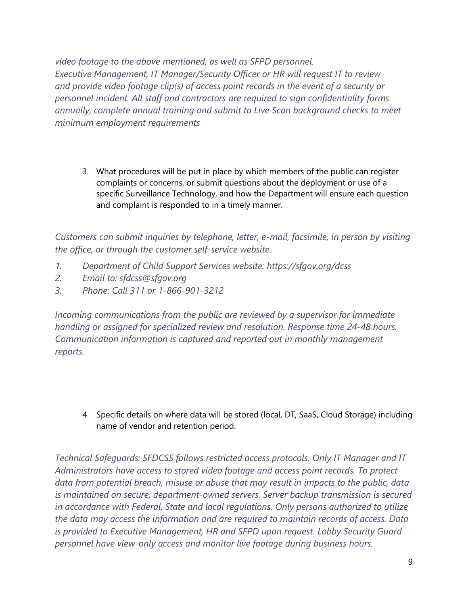*video footage to the above mentioned, as well as SFPD personnel. Executive Management, IT Manager/Security Officer or HR will request IT to review and provide video footage clip(s) of access point records in the event of a security or personnel incident. All staff and contractors are required to sign confidentiality forms annually, complete annual training and submit to Live Scan background checks to meet minimum employment requirements*

3. What procedures will be put in place by which members of the public can register complaints or concerns, or submit questions about the deployment or use of a specific Surveillance Technology, and how the Department will ensure each question and complaint is responded to in a timely manner.

*Customers can submit inquiries by telephone, letter, e-mail, facsimile, in person by visiting the office, or through the customer self-service website.*

- *1. Department of Child Support Services website: https://sfgov.org/dcss*
- *2. Email to: sfdcss@sfgov.org*
- *3. Phone: Call 311 or 1-866-901-3212*

*Incoming communications from the public are reviewed by a supervisor for immediate handling or assigned for specialized review and resolution. Response time 24-48 hours. Communication information is captured and reported out in monthly management reports.*

4. Specific details on where data will be stored (local, DT, SaaS, Cloud Storage) including name of vendor and retention period.

*Technical Safeguards: SFDCSS follows restricted access protocols. Only IT Manager and IT Administrators have access to stored video footage and access point records. To protect data from potential breach, misuse or abuse that may result in impacts to the public, data is maintained on secure, department-owned servers. Server backup transmission is secured in accordance with Federal, State and local regulations. Only persons authorized to utilize the data may access the information and are required to maintain records of access. Data is provided to Executive Management, HR and SFPD upon request. Lobby Security Guard personnel have view-only access and monitor live footage during business hours.*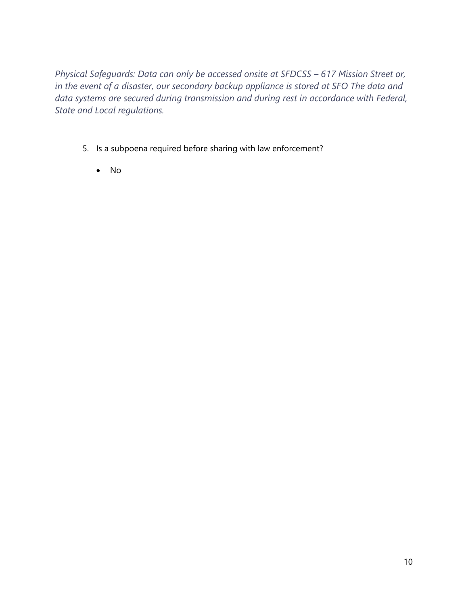*Physical Safeguards: Data can only be accessed onsite at SFDCSS - 617 Mission Street or, in the event of a disaster, our secondary backup appliance is stored at SFO The data and data systems are secured during transmission and during rest in accordance with Federal, State and Local regulations.* 

- 5. Is a subpoena required before sharing with law enforcement?
	- No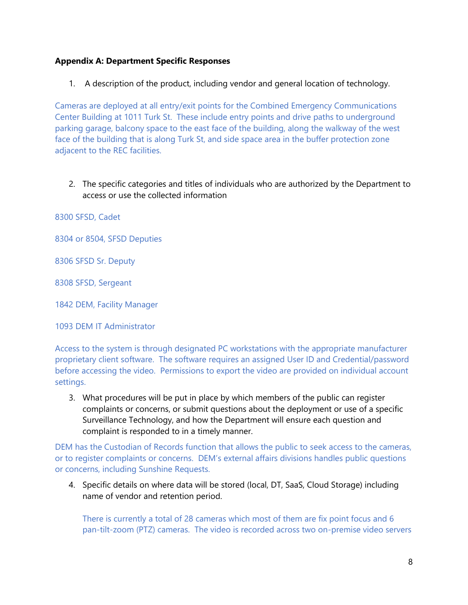1. A description of the product, including vendor and general location of technology.

Cameras are deployed at all entry/exit points for the Combined Emergency Communications Center Building at 1011 Turk St. These include entry points and drive paths to underground parking garage, balcony space to the east face of the building, along the walkway of the west face of the building that is along Turk St, and side space area in the buffer protection zone adjacent to the REC facilities.

2. The specific categories and titles of individuals who are authorized by the Department to access or use the collected information

8300 SFSD, Cadet

8304 or 8504, SFSD Deputies

8306 SFSD Sr. Deputy

8308 SFSD, Sergeant

1842 DEM, Facility Manager

1093 DEM IT Administrator

Access to the system is through designated PC workstations with the appropriate manufacturer proprietary client software. The software requires an assigned User ID and Credential/password before accessing the video. Permissions to export the video are provided on individual account settings.

3. What procedures will be put in place by which members of the public can register complaints or concerns, or submit questions about the deployment or use of a specific Surveillance Technology, and how the Department will ensure each question and complaint is responded to in a timely manner.

DEM has the Custodian of Records function that allows the public to seek access to the cameras, or to register complaints or concerns. DEM's external affairs divisions handles public questions or concerns, including Sunshine Requests.

4. Specific details on where data will be stored (local, DT, SaaS, Cloud Storage) including name of vendor and retention period.

There is currently a total of 28 cameras which most of them are fix point focus and 6 pan-tilt-zoom (PTZ) cameras. The video is recorded across two on-premise video servers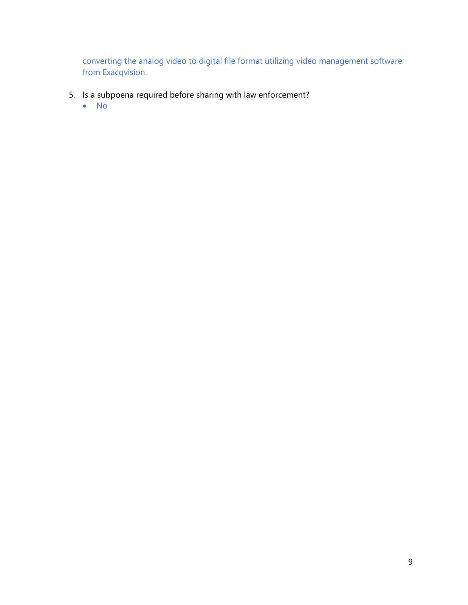converting the analog video to digital file format utilizing video management software from Exacqvision.

- 5. Is a subpoena required before sharing with law enforcement?
	- No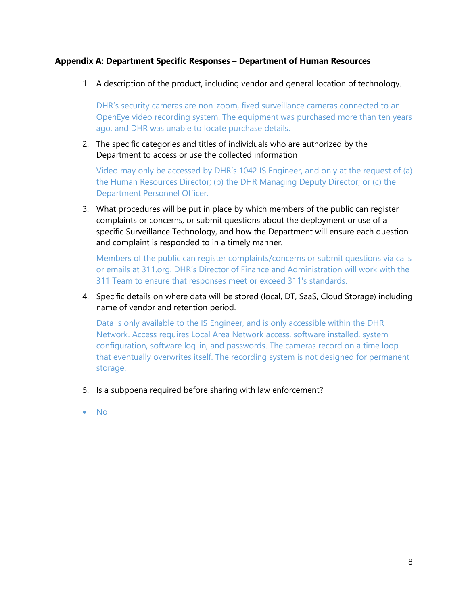#### **Appendix A: Department Specific Responses – Department of Human Resources**

1. A description of the product, including vendor and general location of technology.

DHR's security cameras are non-zoom, fixed surveillance cameras connected to an OpenEye video recording system. The equipment was purchased more than ten years ago, and DHR was unable to locate purchase details.

2. The specific categories and titles of individuals who are authorized by the Department to access or use the collected information

Video may only be accessed by DHR's 1042 IS Engineer, and only at the request of (a) the Human Resources Director; (b) the DHR Managing Deputy Director; or (c) the Department Personnel Officer.

3. What procedures will be put in place by which members of the public can register complaints or concerns, or submit questions about the deployment or use of a specific Surveillance Technology, and how the Department will ensure each question and complaint is responded to in a timely manner.

Members of the public can register complaints/concerns or submit questions via calls or emails at 311.org. DHR's Director of Finance and Administration will work with the 311 Team to ensure that responses meet or exceed 311's standards.

4. Specific details on where data will be stored (local, DT, SaaS, Cloud Storage) including name of vendor and retention period.

Data is only available to the IS Engineer, and is only accessible within the DHR Network. Access requires Local Area Network access, software installed, system configuration, software log-in, and passwords. The cameras record on a time loop that eventually overwrites itself. The recording system is not designed for permanent storage.

- 5. Is a subpoena required before sharing with law enforcement?
- No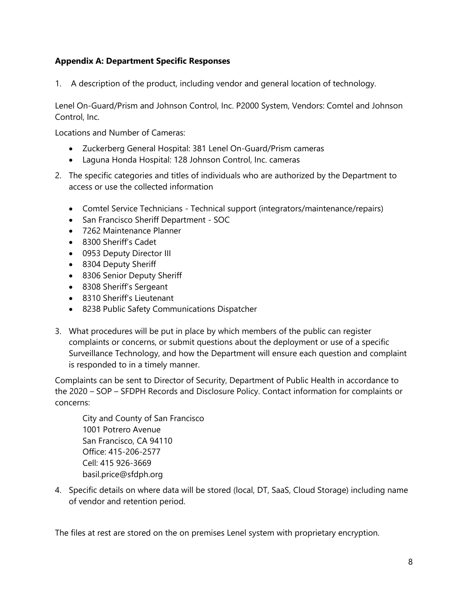1. A description of the product, including vendor and general location of technology.

Lenel On-Guard/Prism and Johnson Control, Inc. P2000 System, Vendors: Comtel and Johnson Control, Inc.

Locations and Number of Cameras:

- Zuckerberg General Hospital: 381 Lenel On-Guard/Prism cameras
- Laguna Honda Hospital: 128 Johnson Control, Inc. cameras
- 2. The specific categories and titles of individuals who are authorized by the Department to access or use the collected information
	- Comtel Service Technicians Technical support (integrators/maintenance/repairs)
	- San Francisco Sheriff Department SOC
	- 7262 Maintenance Planner
	- 8300 Sheriff's Cadet
	- 0953 Deputy Director III
	- 8304 Deputy Sheriff
	- 8306 Senior Deputy Sheriff
	- 8308 Sheriff's Sergeant
	- 8310 Sheriff's Lieutenant
	- 8238 Public Safety Communications Dispatcher
- 3. What procedures will be put in place by which members of the public can register complaints or concerns, or submit questions about the deployment or use of a specific Surveillance Technology, and how the Department will ensure each question and complaint is responded to in a timely manner.

Complaints can be sent to Director of Security, Department of Public Health in accordance to the 2020 – SOP – SFDPH Records and Disclosure Policy. Contact information for complaints or concerns:

City and County of San Francisco 1001 Potrero Avenue San Francisco, CA 94110 Office: 415-206-2577 Cell: 415 926-3669 basil.price@sfdph.org

4. Specific details on where data will be stored (local, DT, SaaS, Cloud Storage) including name of vendor and retention period.

The files at rest are stored on the on premises Lenel system with proprietary encryption.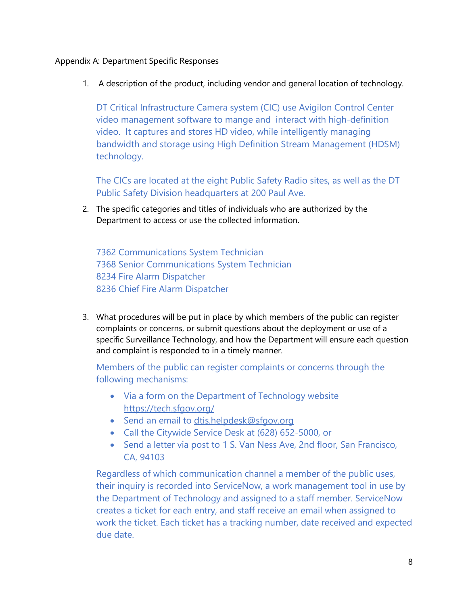1. A description of the product, including vendor and general location of technology.

DT Critical Infrastructure Camera system (CIC) use Avigilon Control Center video management software to mange and interact with high-definition video. It captures and stores HD video, while intelligently managing bandwidth and storage using High Definition Stream Management (HDSM) technology.

The CICs are located at the eight Public Safety Radio sites, as well as the DT Public Safety Division headquarters at 200 Paul Ave.

2. The specific categories and titles of individuals who are authorized by the Department to access or use the collected information.

7362 Communications System Technician 7368 Senior Communications System Technician 8234 Fire Alarm Dispatcher 8236 Chief Fire Alarm Dispatcher

3. What procedures will be put in place by which members of the public can register complaints or concerns, or submit questions about the deployment or use of a specific Surveillance Technology, and how the Department will ensure each question and complaint is responded to in a timely manner.

Members of the public can register complaints or concerns through the following mechanisms:

- Via a form on the Department of Technology website <https://tech.sfgov.org/>
- Send an email to [dtis.helpdesk@sfgov.org](mailto:dtis.helpdesk@sfgov.org)
- Call the Citywide Service Desk at (628) 652-5000, or
- Send a letter via post to 1 S. Van Ness Ave, 2nd floor, San Francisco, CA, 94103

Regardless of which communication channel a member of the public uses, their inquiry is recorded into ServiceNow, a work management tool in use by the Department of Technology and assigned to a staff member. ServiceNow creates a ticket for each entry, and staff receive an email when assigned to work the ticket. Each ticket has a tracking number, date received and expected due date.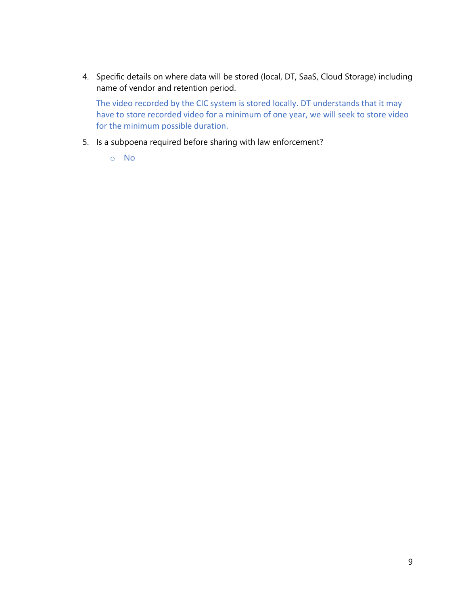4. Specific details on where data will be stored (local, DT, SaaS, Cloud Storage) including name of vendor and retention period.

The video recorded by the CIC system is stored locally. DT understands that it may have to store recorded video for a minimum of one year, we will seek to store video for the minimum possible duration.

- 5. Is a subpoena required before sharing with law enforcement?
	- o No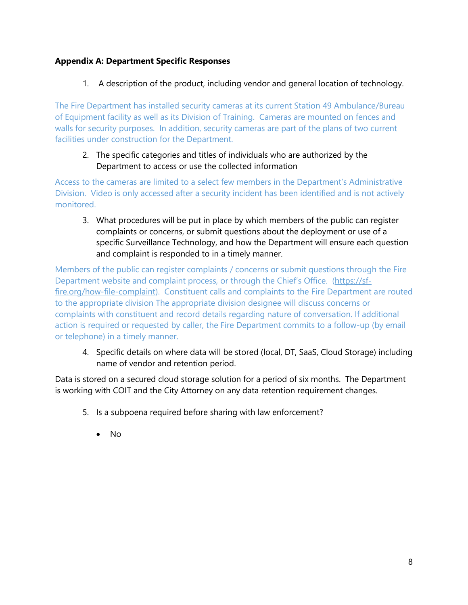1. A description of the product, including vendor and general location of technology.

The Fire Department has installed security cameras at its current Station 49 Ambulance/Bureau of Equipment facility as well as its Division of Training. Cameras are mounted on fences and walls for security purposes. In addition, security cameras are part of the plans of two current facilities under construction for the Department.

## 2. The specific categories and titles of individuals who are authorized by the Department to access or use the collected information

Access to the cameras are limited to a select few members in the Department's Administrative Division. Video is only accessed after a security incident has been identified and is not actively monitored.

3. What procedures will be put in place by which members of the public can register complaints or concerns, or submit questions about the deployment or use of a specific Surveillance Technology, and how the Department will ensure each question and complaint is responded to in a timely manner.

Members of the public can register complaints / concerns or submit questions through the Fire Department website and complaint process, or through the Chief's Office. ([https://sf](https://sf-fire.org/how-file-complaint)[fire.org/how-file-complaint\)](https://sf-fire.org/how-file-complaint). Constituent calls and complaints to the Fire Department are routed to the appropriate division The appropriate division designee will discuss concerns or complaints with constituent and record details regarding nature of conversation. If additional action is required or requested by caller, the Fire Department commits to a follow-up (by email or telephone) in a timely manner.

4. Specific details on where data will be stored (local, DT, SaaS, Cloud Storage) including name of vendor and retention period.

Data is stored on a secured cloud storage solution for a period of six months. The Department is working with COIT and the City Attorney on any data retention requirement changes.

- 5. Is a subpoena required before sharing with law enforcement?
	- No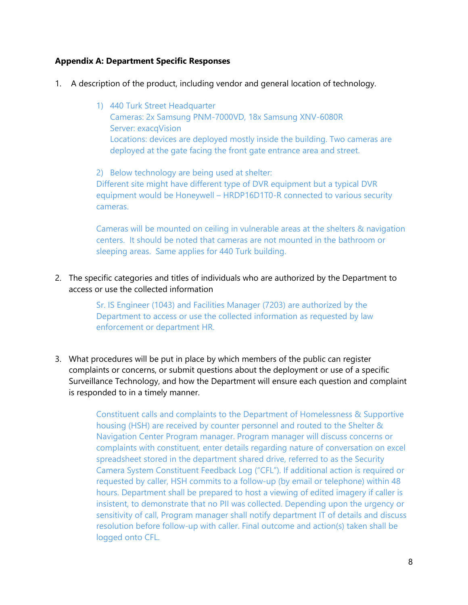- 1. A description of the product, including vendor and general location of technology.
	- 1) 440 Turk Street Headquarter Cameras: 2x Samsung PNM-7000VD, 18x Samsung XNV-6080R Server: exacqVision Locations: devices are deployed mostly inside the building. Two cameras are deployed at the gate facing the front gate entrance area and street.

2) Below technology are being used at shelter: Different site might have different type of DVR equipment but a typical DVR equipment would be Honeywell – HRDP16D1T0-R connected to various security cameras.

Cameras will be mounted on ceiling in vulnerable areas at the shelters & navigation centers. It should be noted that cameras are not mounted in the bathroom or sleeping areas. Same applies for 440 Turk building.

2. The specific categories and titles of individuals who are authorized by the Department to access or use the collected information

> Sr. IS Engineer (1043) and Facilities Manager (7203) are authorized by the Department to access or use the collected information as requested by law enforcement or department HR.

3. What procedures will be put in place by which members of the public can register complaints or concerns, or submit questions about the deployment or use of a specific Surveillance Technology, and how the Department will ensure each question and complaint is responded to in a timely manner.

> Constituent calls and complaints to the Department of Homelessness & Supportive housing (HSH) are received by counter personnel and routed to the Shelter & Navigation Center Program manager. Program manager will discuss concerns or complaints with constituent, enter details regarding nature of conversation on excel spreadsheet stored in the department shared drive, referred to as the Security Camera System Constituent Feedback Log ("CFL"). If additional action is required or requested by caller, HSH commits to a follow-up (by email or telephone) within 48 hours. Department shall be prepared to host a viewing of edited imagery if caller is insistent, to demonstrate that no PII was collected. Depending upon the urgency or sensitivity of call, Program manager shall notify department IT of details and discuss resolution before follow-up with caller. Final outcome and action(s) taken shall be logged onto CFL.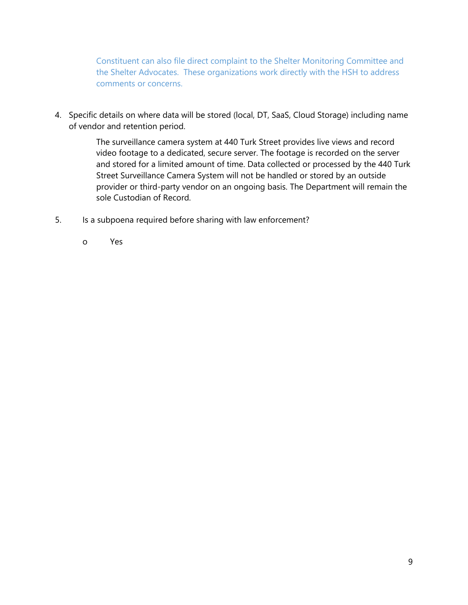Constituent can also file direct complaint to the Shelter Monitoring Committee and the Shelter Advocates. These organizations work directly with the HSH to address comments or concerns.

4. Specific details on where data will be stored (local, DT, SaaS, Cloud Storage) including name of vendor and retention period.

> The surveillance camera system at 440 Turk Street provides live views and record video footage to a dedicated, secure server. The footage is recorded on the server and stored for a limited amount of time. Data collected or processed by the 440 Turk Street Surveillance Camera System will not be handled or stored by an outside provider or third-party vendor on an ongoing basis. The Department will remain the sole Custodian of Record.

- 5. Is a subpoena required before sharing with law enforcement?
	- o Yes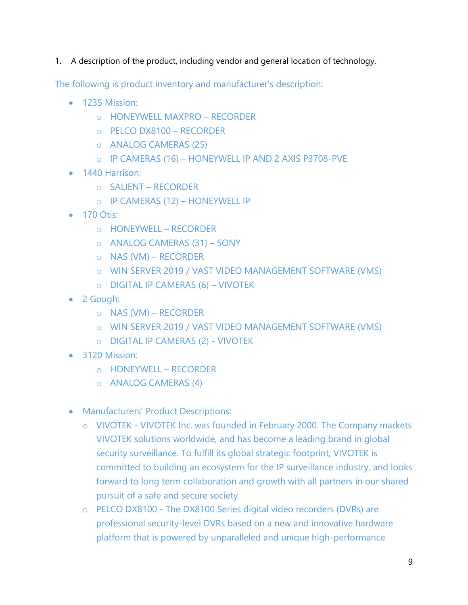1. A description of the product, including vendor and general location of technology.

The following is product inventory and manufacturer's description:

- 1235 Mission:
	- o HONEYWELL MAXPRO RECORDER
	- o PELCO DX8100 RECORDER
	- o ANALOG CAMERAS (25)
	- o IP CAMERAS (16) HONEYWELL IP AND 2 AXIS P3708-PVE
- 1440 Harrison:
	- o SALIENT RECORDER
	- o IP CAMERAS (12) HONEYWELL IP
- 170 Otis:
	- o HONEYWELL RECORDER
	- o ANALOG CAMERAS (31) SONY
	- o NAS (VM) RECORDER
	- o WIN SERVER 2019 / VAST VIDEO MANAGEMENT SOFTWARE (VMS)
	- o DIGITAL IP CAMERAS (6) VIVOTEK
- 2 Gough:
	- o NAS (VM) RECORDER
	- o WIN SERVER 2019 / VAST VIDEO MANAGEMENT SOFTWARE (VMS)
	- o DIGITAL IP CAMERAS (2) VIVOTEK
- 3120 Mission:
	- o HONEYWELL RECORDER
	- o ANALOG CAMERAS (4)
- Manufacturers' Product Descriptions:
	- o VIVOTEK VIVOTEK Inc. was founded in February 2000. The Company markets VIVOTEK solutions worldwide, and has become a leading brand in global security surveillance. To fulfill its global strategic footprint, VIVOTEK is committed to building an ecosystem for the IP surveillance industry, and looks forward to long term collaboration and growth with all partners in our shared pursuit of a safe and secure society.
	- o PELCO DX8100 The DX8100 Series digital video recorders (DVRs) are professional security-level DVRs based on a new and innovative hardware platform that is powered by unparalleled and unique high-performance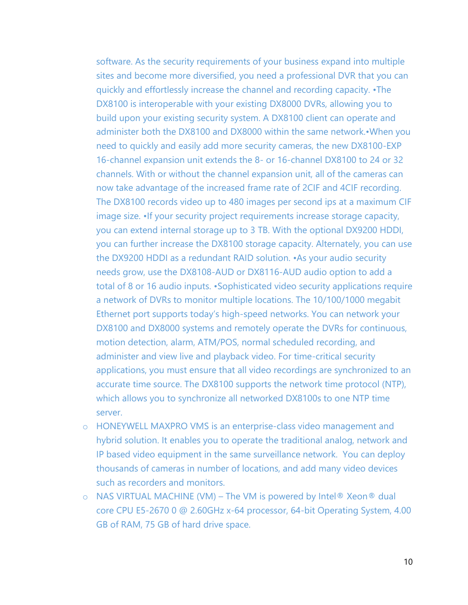software. As the security requirements of your business expand into multiple sites and become more diversified, you need a professional DVR that you can quickly and effortlessly increase the channel and recording capacity. •The DX8100 is interoperable with your existing DX8000 DVRs, allowing you to build upon your existing security system. A DX8100 client can operate and administer both the DX8100 and DX8000 within the same network.•When you need to quickly and easily add more security cameras, the new DX8100-EXP 16-channel expansion unit extends the 8- or 16-channel DX8100 to 24 or 32 channels. With or without the channel expansion unit, all of the cameras can now take advantage of the increased frame rate of 2CIF and 4CIF recording. The DX8100 records video up to 480 images per second ips at a maximum CIF image size. •If your security project requirements increase storage capacity, you can extend internal storage up to 3 TB. With the optional DX9200 HDDI, you can further increase the DX8100 storage capacity. Alternately, you can use the DX9200 HDDI as a redundant RAID solution. •As your audio security needs grow, use the DX8108-AUD or DX8116-AUD audio option to add a total of 8 or 16 audio inputs. •Sophisticated video security applications require a network of DVRs to monitor multiple locations. The 10/100/1000 megabit Ethernet port supports today's high-speed networks. You can network your DX8100 and DX8000 systems and remotely operate the DVRs for continuous, motion detection, alarm, ATM/POS, normal scheduled recording, and administer and view live and playback video. For time-critical security applications, you must ensure that all video recordings are synchronized to an accurate time source. The DX8100 supports the network time protocol (NTP), which allows you to synchronize all networked DX8100s to one NTP time server.

- o HONEYWELL MAXPRO VMS is an enterprise-class video management and hybrid solution. It enables you to operate the traditional analog, network and IP based video equipment in the same surveillance network. You can deploy thousands of cameras in number of locations, and add many video devices such as recorders and monitors.
- $\circ$  NAS VIRTUAL MACHINE (VM) The VM is powered by Intel® Xeon® dual core CPU E5-2670 0 @ 2.60GHz x-64 processor, 64-bit Operating System, 4.00 GB of RAM, 75 GB of hard drive space.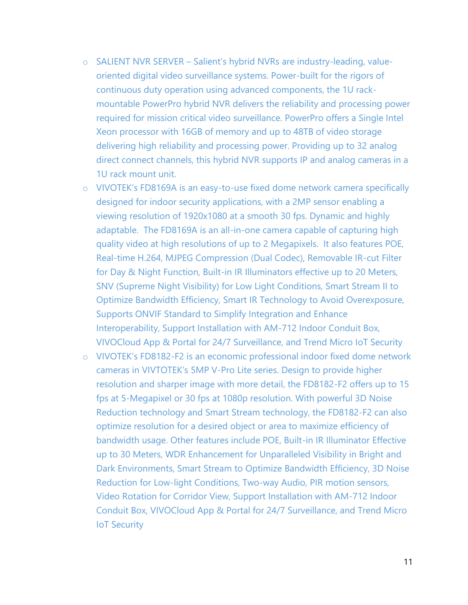- o SALIENT NVR SERVER Salient's hybrid NVRs are industry-leading, valueoriented digital video surveillance systems. Power-built for the rigors of continuous duty operation using advanced components, the 1U rackmountable PowerPro hybrid NVR delivers the reliability and processing power required for mission critical video surveillance. PowerPro offers a Single Intel Xeon processor with 16GB of memory and up to 48TB of video storage delivering high reliability and processing power. Providing up to 32 analog direct connect channels, this hybrid NVR supports IP and analog cameras in a 1U rack mount unit.
- o VIVOTEK's FD8169A is an easy-to-use fixed dome network camera specifically designed for indoor security applications, with a 2MP sensor enabling a viewing resolution of 1920x1080 at a smooth 30 fps. Dynamic and highly adaptable. The FD8169A is an all-in-one camera capable of capturing high quality video at high resolutions of up to 2 Megapixels. It also features POE, Real-time H.264, MJPEG Compression (Dual Codec), Removable IR-cut Filter for Day & Night Function, Built-in IR Illuminators effective up to 20 Meters, SNV (Supreme Night Visibility) for Low Light Conditions, Smart Stream II to Optimize Bandwidth Efficiency, Smart IR Technology to Avoid Overexposure, Supports ONVIF Standard to Simplify Integration and Enhance Interoperability, Support Installation with AM-712 Indoor Conduit Box, VIVOCloud App & Portal for 24/7 Surveillance, and Trend Micro IoT Security
- o VIVOTEK's FD8182-F2 is an economic professional indoor fixed dome network cameras in VIVTOTEK's 5MP V-Pro Lite series. Design to provide higher resolution and sharper image with more detail, the FD8182-F2 offers up to 15 fps at 5-Megapixel or 30 fps at 1080p resolution. With powerful 3D Noise Reduction technology and Smart Stream technology, the FD8182-F2 can also optimize resolution for a desired object or area to maximize efficiency of bandwidth usage. Other features include POE, Built-in IR Illuminator Effective up to 30 Meters, WDR Enhancement for Unparalleled Visibility in Bright and Dark Environments, Smart Stream to Optimize Bandwidth Efficiency, 3D Noise Reduction for Low-light Conditions, Two-way Audio, PIR motion sensors, Video Rotation for Corridor View, Support Installation with AM-712 Indoor Conduit Box, VIVOCloud App & Portal for 24/7 Surveillance, and Trend Micro IoT Security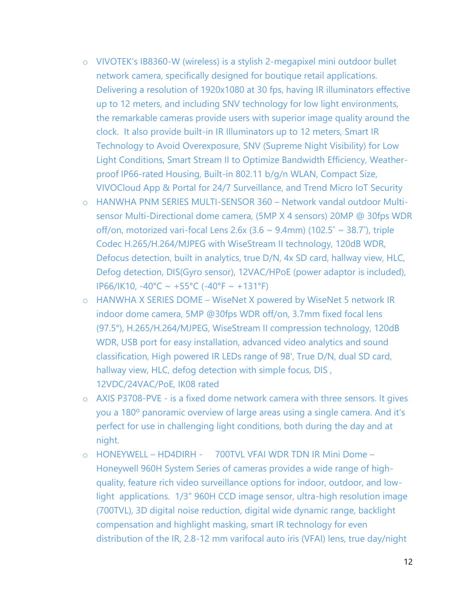- o VIVOTEK's IB8360-W (wireless) is a stylish 2-megapixel mini outdoor bullet network camera, specifically designed for boutique retail applications. Delivering a resolution of 1920x1080 at 30 fps, having IR illuminators effective up to 12 meters, and including SNV technology for low light environments, the remarkable cameras provide users with superior image quality around the clock. It also provide built-in IR Illuminators up to 12 meters, Smart IR Technology to Avoid Overexposure, SNV (Supreme Night Visibility) for Low Light Conditions, Smart Stream II to Optimize Bandwidth Efficiency, Weatherproof IP66-rated Housing, Built-in 802.11 b/g/n WLAN, Compact Size, VIVOCloud App & Portal for 24/7 Surveillance, and Trend Micro IoT Security
- o HANWHA PNM SERIES MULTI-SENSOR 360 Network vandal outdoor Multisensor Multi-Directional dome camera, (5MP X 4 sensors) 20MP @ 30fps WDR off/on, motorized vari-focal Lens 2.6x (3.6  $\sim$  9.4mm) (102.5°  $\sim$  38.7°), triple Codec H.265/H.264/MJPEG with WiseStream II technology, 120dB WDR, Defocus detection, built in analytics, true D/N, 4x SD card, hallway view, HLC, Defog detection, DIS(Gyro sensor), 12VAC/HPoE (power adaptor is included), IP66/IK10, -40°C ~ +55°C (-40°F ~ +131°F)
- o HANWHA X SERIES DOME WiseNet X powered by WiseNet 5 network IR indoor dome camera, 5MP @30fps WDR off/on, 3.7mm fixed focal lens (97.5°), H.265/H.264/MJPEG, WiseStream II compression technology, 120dB WDR, USB port for easy installation, advanced video analytics and sound classification, High powered IR LEDs range of 98', True D/N, dual SD card, hallway view, HLC, defog detection with simple focus, DIS, 12VDC/24VAC/PoE, IK08 rated
- o AXIS P3708-PVE is a fixed dome network camera with three sensors. It gives you a 180º panoramic overview of large areas using a single camera. And it's perfect for use in challenging light conditions, both during the day and at night.
- o HONEYWELL HD4DIRH 700TVL VFAI WDR TDN IR Mini Dome Honeywell 960H System Series of cameras provides a wide range of highquality, feature rich video surveillance options for indoor, outdoor, and lowlight applications. 1/3" 960H CCD image sensor, ultra-high resolution image (700TVL), 3D digital noise reduction, digital wide dynamic range, backlight compensation and highlight masking, smart IR technology for even distribution of the IR, 2.8-12 mm varifocal auto iris (VFAI) lens, true day/night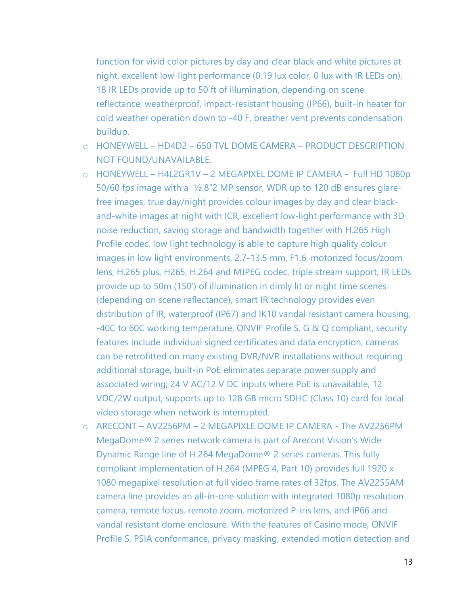function for vivid color pictures by day and clear black and white pictures at night, excellent low-light performance (0.19 lux color, 0 lux with IR LEDs on), 18 IR LEDs provide up to 50 ft of illumination, depending on scene reflectance, weatherproof, impact-resistant housing (IP66), built-in heater for cold weather operation down to -40 F, breather vent prevents condensation buildup.

- o HONEYWELL HD4D2 650 TVL DOME CAMERA PRODUCT DESCRIPTION NOT FOUND/UNAVAILABLE.
- o HONEYWELL H4L2GR1V 2 MEGAPIXEL DOME IP CAMERA Full HD 1080p 50/60 fps image with a ½.8"2 MP sensor, WDR up to 120 dB ensures glarefree images, true day/night provides colour images by day and clear blackand-white images at night with ICR, excellent low-light performance with 3D noise reduction, saving storage and bandwidth together with H.265 High Profile codec, low light technology is able to capture high quality colour images in low light environments, 2.7-13.5 mm, F1.6, motorized focus/zoom lens, H.265 plus, H265, H.264 and MJPEG codec, triple stream support, IR LEDs provide up to 50m (150') of illumination in dimly lit or night time scenes (depending on scene reflectance), smart IR technology provides even distribution of IR, waterproof (IP67) and IK10 vandal resistant camera housing, -40C to 60C working temperature, ONVIF Profile S, G & Q compliant, security features include individual signed certificates and data encryption, cameras can be retrofitted on many existing DVR/NVR installations without requiring additional storage, built-in PoE eliminates separate power supply and associated wiring; 24 V AC/12 V DC inputs where PoE is unavailable, 12 VDC/2W output, supports up to 128 GB micro SDHC (Class 10) card for local video storage when network is interrupted.
- o ARECONT AV2256PM 2 MEGAPIXLE DOME IP CAMERA The AV2256PM MegaDome® 2 series network camera is part of Arecont Vision's Wide Dynamic Range line of H.264 MegaDome® 2 series cameras. This fully compliant implementation of H.264 (MPEG 4, Part 10) provides full 1920 x 1080 megapixel resolution at full video frame rates of 32fps. The AV2255AM camera line provides an all-in-one solution with integrated 1080p resolution camera, remote focus, remote zoom, motorized P-iris lens, and IP66 and vandal resistant dome enclosure. With the features of Casino mode, ONVIF Profile S, PSIA conformance, privacy masking, extended motion detection and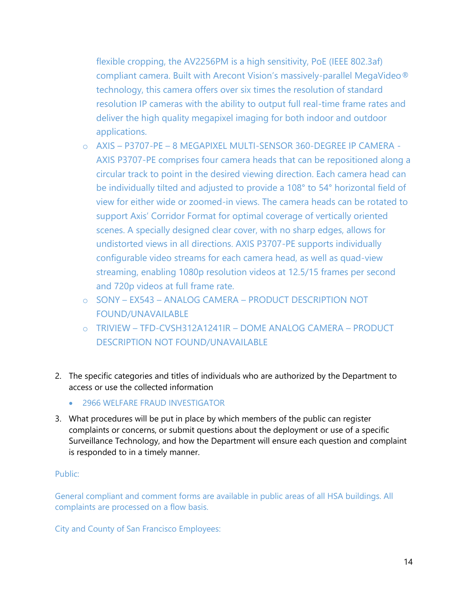flexible cropping, the AV2256PM is a high sensitivity, PoE (IEEE 802.3af) compliant camera. Built with Arecont Vision's massively-parallel MegaVideo® technology, this camera offers over six times the resolution of standard resolution IP cameras with the ability to output full real-time frame rates and deliver the high quality megapixel imaging for both indoor and outdoor applications.

- o AXIS P3707-PE 8 MEGAPIXEL MULTI-SENSOR 360-DEGREE IP CAMERA AXIS P3707-PE comprises four camera heads that can be repositioned along a circular track to point in the desired viewing direction. Each camera head can be individually tilted and adjusted to provide a 108° to 54° horizontal field of view for either wide or zoomed-in views. The camera heads can be rotated to support Axis' Corridor Format for optimal coverage of vertically oriented scenes. A specially designed clear cover, with no sharp edges, allows for undistorted views in all directions. AXIS P3707-PE supports individually configurable video streams for each camera head, as well as quad-view streaming, enabling 1080p resolution videos at 12.5/15 frames per second and 720p videos at full frame rate.
- o SONY EX543 ANALOG CAMERA PRODUCT DESCRIPTION NOT FOUND/UNAVAILABLE
- o TRIVIEW TFD-CVSH312A1241IR DOME ANALOG CAMERA PRODUCT DESCRIPTION NOT FOUND/UNAVAILABLE
- 2. The specific categories and titles of individuals who are authorized by the Department to access or use the collected information
	- 2966 WELFARE FRAUD INVESTIGATOR
- 3. What procedures will be put in place by which members of the public can register complaints or concerns, or submit questions about the deployment or use of a specific Surveillance Technology, and how the Department will ensure each question and complaint is responded to in a timely manner.

#### Public:

General compliant and comment forms are available in public areas of all HSA buildings. All complaints are processed on a flow basis.

City and County of San Francisco Employees: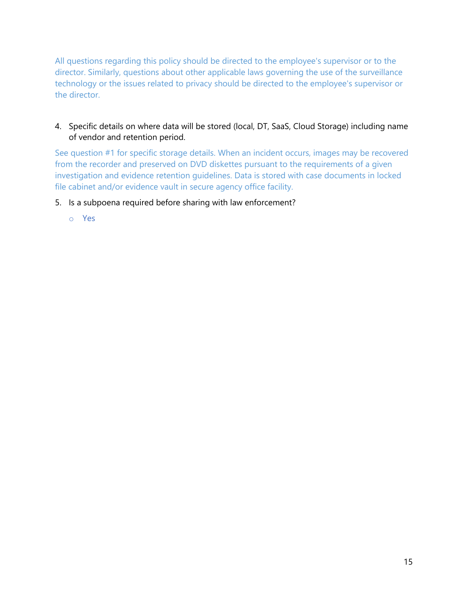All questions regarding this policy should be directed to the employee's supervisor or to the director. Similarly, questions about other applicable laws governing the use of the surveillance technology or the issues related to privacy should be directed to the employee's supervisor or the director.

# 4. Specific details on where data will be stored (local, DT, SaaS, Cloud Storage) including name of vendor and retention period.

See question #1 for specific storage details. When an incident occurs, images may be recovered from the recorder and preserved on DVD diskettes pursuant to the requirements of a given investigation and evidence retention guidelines. Data is stored with case documents in locked file cabinet and/or evidence vault in secure agency office facility.

### 5. Is a subpoena required before sharing with law enforcement?

o Yes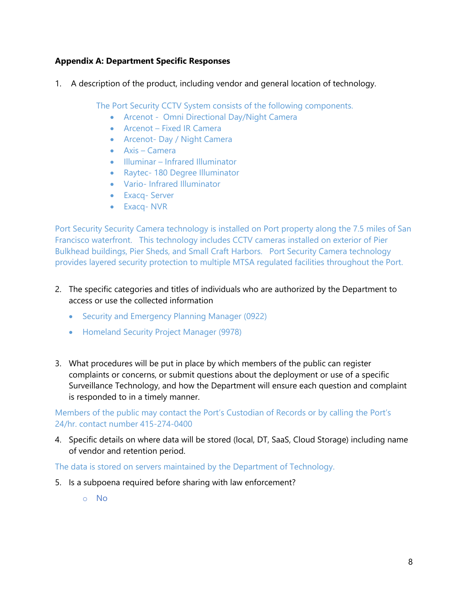1. A description of the product, including vendor and general location of technology.

The Port Security CCTV System consists of the following components.

- Arcenot Omni Directional Day/Night Camera
- Arcenot Fixed IR Camera
- Arcenot- Day / Night Camera
- Axis Camera
- Illuminar Infrared Illuminator
- Raytec- 180 Degree Illuminator
- Vario- Infrared Illuminator
- Exacq- Server
- Exacq- NVR

Port Security Security Camera technology is installed on Port property along the 7.5 miles of San Francisco waterfront. This technology includes CCTV cameras installed on exterior of Pier Bulkhead buildings, Pier Sheds, and Small Craft Harbors. Port Security Camera technology provides layered security protection to multiple MTSA regulated facilities throughout the Port.

- 2. The specific categories and titles of individuals who are authorized by the Department to access or use the collected information
	- Security and Emergency Planning Manager (0922)
	- Homeland Security Project Manager (9978)
- 3. What procedures will be put in place by which members of the public can register complaints or concerns, or submit questions about the deployment or use of a specific Surveillance Technology, and how the Department will ensure each question and complaint is responded to in a timely manner.

## Members of the public may contact the Port's Custodian of Records or by calling the Port's 24/hr. contact number 415-274-0400

4. Specific details on where data will be stored (local, DT, SaaS, Cloud Storage) including name of vendor and retention period.

The data is stored on servers maintained by the Department of Technology.

- 5. Is a subpoena required before sharing with law enforcement?
	- o No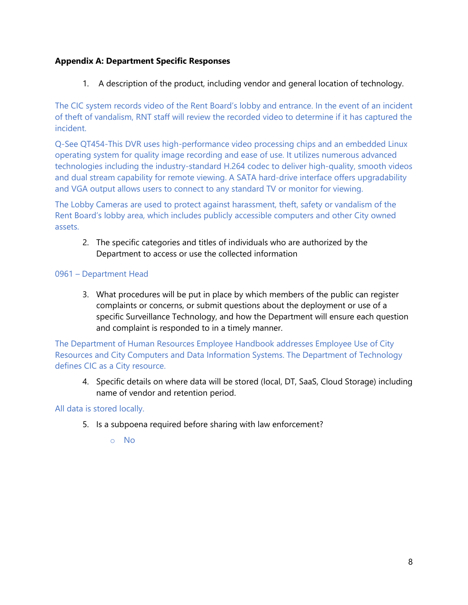1. A description of the product, including vendor and general location of technology.

The CIC system records video of the Rent Board's lobby and entrance. In the event of an incident of theft of vandalism, RNT staff will review the recorded video to determine if it has captured the incident.

Q-See QT454-This DVR uses high-performance video processing chips and an embedded Linux operating system for quality image recording and ease of use. It utilizes numerous advanced technologies including the industry-standard H.264 codec to deliver high-quality, smooth videos and dual stream capability for remote viewing. A SATA hard-drive interface offers upgradability and VGA output allows users to connect to any standard TV or monitor for viewing.

The Lobby Cameras are used to protect against harassment, theft, safety or vandalism of the Rent Board's lobby area, which includes publicly accessible computers and other City owned assets.

2. The specific categories and titles of individuals who are authorized by the Department to access or use the collected information

#### 0961 – Department Head

3. What procedures will be put in place by which members of the public can register complaints or concerns, or submit questions about the deployment or use of a specific Surveillance Technology, and how the Department will ensure each question and complaint is responded to in a timely manner.

The Department of Human Resources Employee Handbook addresses Employee Use of City Resources and City Computers and Data Information Systems. The Department of Technology defines CIC as a City resource.

4. Specific details on where data will be stored (local, DT, SaaS, Cloud Storage) including name of vendor and retention period.

### All data is stored locally.

- 5. Is a subpoena required before sharing with law enforcement?
	- o No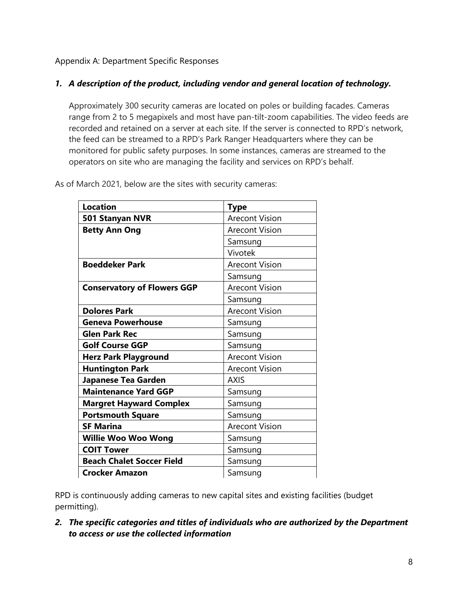# *1. A description of the product, including vendor and general location of technology.*

Approximately 300 security cameras are located on poles or building facades. Cameras range from 2 to 5 megapixels and most have pan-tilt-zoom capabilities. The video feeds are recorded and retained on a server at each site. If the server is connected to RPD's network, the feed can be streamed to a RPD's Park Ranger Headquarters where they can be monitored for public safety purposes. In some instances, cameras are streamed to the operators on site who are managing the facility and services on RPD's behalf.

| <b>Location</b>                    | <b>Type</b>           |
|------------------------------------|-----------------------|
| 501 Stanyan NVR                    | <b>Arecont Vision</b> |
| <b>Betty Ann Ong</b>               | <b>Arecont Vision</b> |
|                                    | Samsung               |
|                                    | Vivotek               |
| <b>Boeddeker Park</b>              | <b>Arecont Vision</b> |
|                                    | Samsung               |
| <b>Conservatory of Flowers GGP</b> | <b>Arecont Vision</b> |
|                                    | Samsung               |
| <b>Dolores Park</b>                | <b>Arecont Vision</b> |
| <b>Geneva Powerhouse</b>           | Samsung               |
| <b>Glen Park Rec</b>               | Samsung               |
| <b>Golf Course GGP</b>             | Samsung               |
| <b>Herz Park Playground</b>        | <b>Arecont Vision</b> |
| <b>Huntington Park</b>             | <b>Arecont Vision</b> |
| Japanese Tea Garden                | <b>AXIS</b>           |
| <b>Maintenance Yard GGP</b>        | Samsung               |
| <b>Margret Hayward Complex</b>     | Samsung               |
| <b>Portsmouth Square</b>           | Samsung               |
| <b>SF Marina</b>                   | <b>Arecont Vision</b> |
| <b>Willie Woo Woo Wong</b>         | Samsung               |
| <b>COIT Tower</b>                  | Samsung               |
| <b>Beach Chalet Soccer Field</b>   | Samsung               |
| <b>Crocker Amazon</b>              | Samsung               |

As of March 2021, below are the sites with security cameras:

RPD is continuously adding cameras to new capital sites and existing facilities (budget permitting).

*2. The specific categories and titles of individuals who are authorized by the Department to access or use the collected information*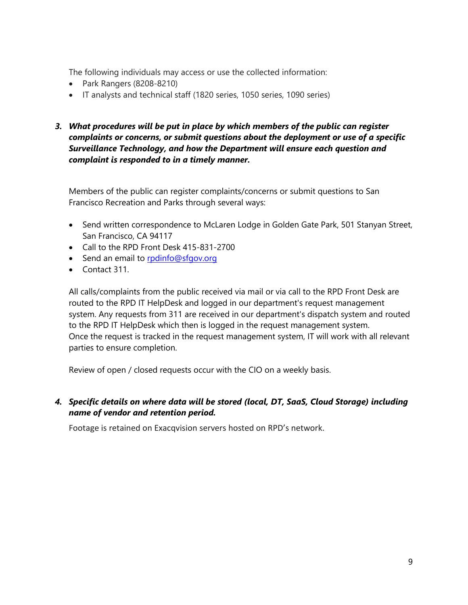The following individuals may access or use the collected information:

- Park Rangers (8208-8210)
- IT analysts and technical staff (1820 series, 1050 series, 1090 series)
- *3. What procedures will be put in place by which members of the public can register complaints or concerns, or submit questions about the deployment or use of a specific Surveillance Technology, and how the Department will ensure each question and complaint is responded to in a timely manner.*

Members of the public can register complaints/concerns or submit questions to San Francisco Recreation and Parks through several ways:

- Send written correspondence to McLaren Lodge in Golden Gate Park, 501 Stanyan Street, San Francisco, CA 94117
- Call to the RPD Front Desk 415-831-2700
- Send an email to [rpdinfo@sfgov.org](mailto:rpdinfo@sfgov.org)
- Contact 311.

All calls/complaints from the public received via mail or via call to the RPD Front Desk are routed to the RPD IT HelpDesk and logged in our department's request management system. Any requests from 311 are received in our department's dispatch system and routed to the RPD IT HelpDesk which then is logged in the request management system. Once the request is tracked in the request management system, IT will work with all relevant parties to ensure completion.

Review of open / closed requests occur with the CIO on a weekly basis.

# *4. Specific details on where data will be stored (local, DT, SaaS, Cloud Storage) including name of vendor and retention period.*

Footage is retained on Exacqvision servers hosted on RPD's network.